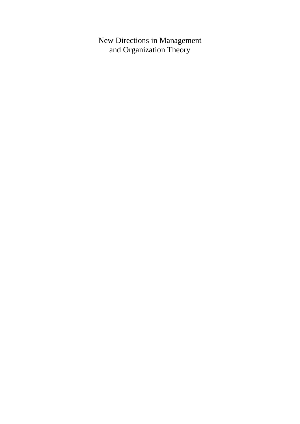## New Directions in Management and Organization Theory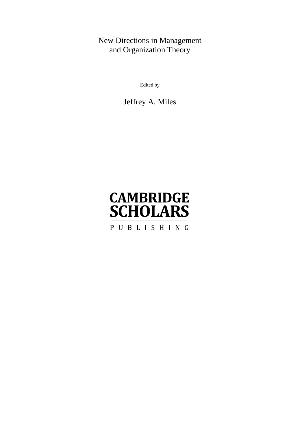## New Directions in Management and Organization Theory

Edited by

Jeffrey A. Miles

# **CAMBRIDGE SCHOLARS** PUBLISHING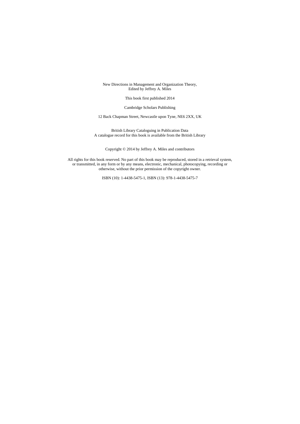#### New Directions in Management and Organization Theory, Edited by Jeffrey A. Miles

This book first published 2014

Cambridge Scholars Publishing

12 Back Chapman Street, Newcastle upon Tyne, NE6 2XX, UK

British Library Cataloguing in Publication Data A catalogue record for this book is available from the British Library

Copyright © 2014 by Jeffrey A. Miles and contributors

All rights for this book reserved. No part of this book may be reproduced, stored in a retrieval system, or transmitted, in any form or by any means, electronic, mechanical, photocopying, recording or otherwise, without the prior permission of the copyright owner.

ISBN (10): 1-4438-5475-1, ISBN (13): 978-1-4438-5475-7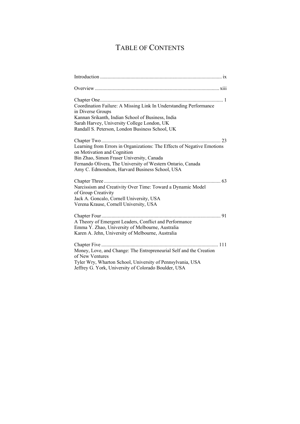## TABLE OF CONTENTS

| Coordination Failure: A Missing Link In Understanding Performance<br>in Diverse Groups<br>Kannan Srikanth, Indian School of Business, India<br>Sarah Harvey, University College London, UK<br>Randall S. Peterson, London Business School, UK                        |
|----------------------------------------------------------------------------------------------------------------------------------------------------------------------------------------------------------------------------------------------------------------------|
| Learning from Errors in Organizations: The Effects of Negative Emotions<br>on Motivation and Cognition<br>Bin Zhao, Simon Fraser University, Canada<br>Fernando Olivera, The University of Western Ontario, Canada<br>Amy C. Edmondson, Harvard Business School, USA |
|                                                                                                                                                                                                                                                                      |
| Narcissism and Creativity Over Time: Toward a Dynamic Model<br>of Group Creativity<br>Jack A. Goncalo, Cornell University, USA<br>Verena Krause, Cornell University, USA                                                                                             |
| A Theory of Emergent Leaders, Conflict and Performance<br>Emma Y. Zhao, University of Melbourne, Australia<br>Karen A. Jehn, University of Melbourne, Australia                                                                                                      |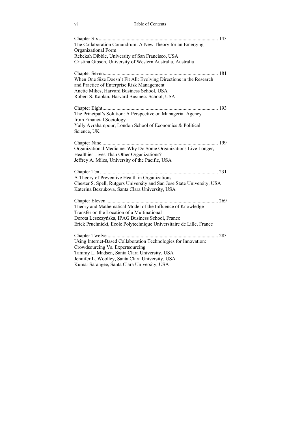#### vi Table of Contents

| The Collaboration Conundrum: A New Theory for an Emerging                |  |
|--------------------------------------------------------------------------|--|
| Organizational Form                                                      |  |
| Rebekah Dibble, University of San Francisco, USA                         |  |
| Cristina Gibson, University of Western Australia, Australia              |  |
|                                                                          |  |
| When One Size Doesn't Fit All: Evolving Directions in the Research       |  |
| and Practice of Enterprise Risk Management                               |  |
| Anette Mikes, Harvard Business School, USA                               |  |
| Robert S. Kaplan, Harvard Business School, USA                           |  |
|                                                                          |  |
|                                                                          |  |
| The Principal's Solution: A Perspective on Managerial Agency             |  |
| from Financial Sociology                                                 |  |
| Yally Avrahampour, London School of Economics & Political<br>Science, UK |  |
|                                                                          |  |
|                                                                          |  |
| Organizational Medicine: Why Do Some Organizations Live Longer,          |  |
| Healthier Lives Than Other Organizations?                                |  |
| Jeffrey A. Miles, University of the Pacific, USA                         |  |
|                                                                          |  |
|                                                                          |  |
| A Theory of Preventive Health in Organizations                           |  |
| Chester S. Spell, Rutgers University and San Jose State University, USA  |  |
| Katerina Bezrukova, Santa Clara University, USA                          |  |
|                                                                          |  |
| Theory and Mathematical Model of the Influence of Knowledge              |  |
| Transfer on the Location of a Multinational                              |  |
| Dorota Leszczyńska, IPAG Business School, France                         |  |
| Erick Pruchnicki, Ecole Polytechnique Universitaire de Lille, France     |  |
|                                                                          |  |
| 283                                                                      |  |
| Using Internet-Based Collaboration Technologies for Innovation:          |  |
| Crowdsourcing Vs. Expertsourcing                                         |  |
| Tammy L. Madsen, Santa Clara University, USA                             |  |
| Jennifer L. Woolley, Santa Clara University, USA                         |  |
| Kumar Sarangee, Santa Clara University, USA                              |  |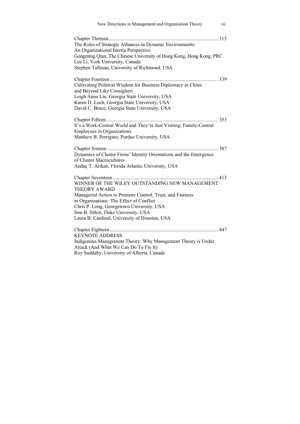| New Directions in Management and Organization Theory                                                                                                                                                                                                                                                         | vii |
|--------------------------------------------------------------------------------------------------------------------------------------------------------------------------------------------------------------------------------------------------------------------------------------------------------------|-----|
| The Roles of Strategic Alliances in Dynamic Environments:<br>An Organizational Inertia Perspective<br>Gongming Qian, The Chinese University of Hong Kong, Hong Kong, PRC<br>Lee Li, York University, Canada<br>Stephen Tallman, University of Richmond, USA                                                  |     |
| Cultivating Political Wisdom for Business Diplomacy in China<br>and Beyond Like Consiglieri<br>Leigh Anne Liu, Georgia State University, USA<br>Karen D. Loch, Georgia State University, USA<br>David C. Bruce, Georgia State University, USA                                                                |     |
| It's a Work-Central World and They're Just Visiting: Family-Central<br>Employees in Organizations<br>Matthew B. Perrigino, Purdue University, USA                                                                                                                                                            |     |
| Dynamics of Cluster Firms' Identity Orientations and the Emergence<br>of Cluster Macrocultures<br>Andaç T. Arıkan, Florida Atlantic University, USA                                                                                                                                                          |     |
| WINNER OF THE WILEY OUTSTANDING NEW MANAGEMENT<br>THEORY AWARD<br>Managerial Action to Promote Control, Trust, and Fairness<br>in Organizations: The Effect of Conflict<br>Chris P. Long, Georgetown University, USA<br>Sim B. Sitkin, Duke University, USA<br>Laura B. Cardinal, University of Houston, USA |     |
| <b>KEYNOTE ADDRESS</b><br>Indigenous Management Theory: Why Management Theory is Under<br>Attack (And What We Can Do To Fix It)<br>Roy Suddaby, University of Alberta, Canada                                                                                                                                |     |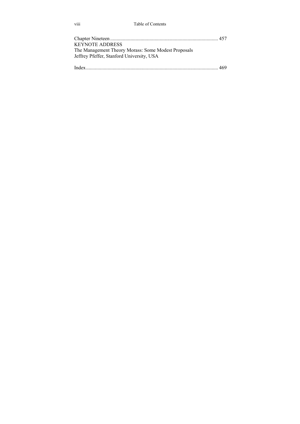| <b>KEYNOTE ADDRESS</b>                              |  |
|-----------------------------------------------------|--|
| The Management Theory Morass: Some Modest Proposals |  |
| Jeffrey Pfeffer, Stanford University, USA           |  |
|                                                     |  |
|                                                     |  |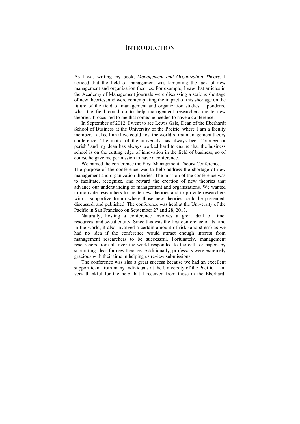### **INTRODUCTION**

As I was writing my book, *Management and Organization Theory*, I noticed that the field of management was lamenting the lack of new management and organization theories. For example, I saw that articles in the Academy of Management journals were discussing a serious shortage of new theories, and were contemplating the impact of this shortage on the future of the field of management and organization studies. I pondered what the field could do to help management researchers create new theories. It occurred to me that someone needed to have a conference.

In September of 2012, I went to see Lewis Gale, Dean of the Eberhardt School of Business at the University of the Pacific, where I am a faculty member. I asked him if we could host the world's first management theory conference. The motto of the university has always been "pioneer or perish" and my dean has always worked hard to ensure that the business school is on the cutting edge of innovation in the field of business, so of course he gave me permission to have a conference.

We named the conference the First Management Theory Conference. The purpose of the conference was to help address the shortage of new management and organization theories. The mission of the conference was to facilitate, recognize, and reward the creation of new theories that advance our understanding of management and organizations. We wanted to motivate researchers to create new theories and to provide researchers with a supportive forum where those new theories could be presented, discussed, and published. The conference was held at the University of the Pacific in San Francisco on September 27 and 28, 2013.

Naturally, hosting a conference involves a great deal of time, resources, and sweat equity. Since this was the first conference of its kind in the world, it also involved a certain amount of risk (and stress) as we had no idea if the conference would attract enough interest from management researchers to be successful. Fortunately, management researchers from all over the world responded to the call for papers by submitting ideas for new theories. Additionally, professors were extremely gracious with their time in helping us review submissions.

The conference was also a great success because we had an excellent support team from many individuals at the University of the Pacific. I am very thankful for the help that I received from those in the Eberhardt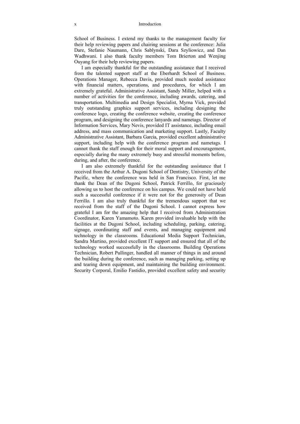School of Business. I extend my thanks to the management faculty for their help reviewing papers and chairing sessions at the conference: Julia Dare, Stefanie Naumann, Chris Sablynski, Dara Szyliowicz, and Dan Wadhwani. I also thank faculty members Tom Brierton and Wenjing Ouyang for their help reviewing papers.

I am especially thankful for the outstanding assistance that I received from the talented support staff at the Eberhardt School of Business. Operations Manager, Rebecca Davis, provided much needed assistance with financial matters, operations, and procedures, for which I am extremely grateful. Administrative Assistant, Sandy Miller, helped with a number of activities for the conference, including awards, catering, and transportation. Multimedia and Design Specialist, Myrna Vick, provided truly outstanding graphics support services, including designing the conference logo, creating the conference website, creating the conference program, and designing the conference lanyards and nametags. Director of Information Services, Mary Nevis, provided IT assistance, including email address, and mass communication and marketing support. Lastly, Faculty Administrative Assistant, Barbara Garcia, provided excellent administrative support, including help with the conference program and nametags. I cannot thank the staff enough for their moral support and encouragement, especially during the many extremely busy and stressful moments before, during, and after, the conference.

I am also extremely thankful for the outstanding assistance that I received from the Arthur A. Dugoni School of Dentistry, University of the Pacific, where the conference was held in San Francisco. First, let me thank the Dean of the Dugoni School, Patrick Ferrillo, for graciously allowing us to host the conference on his campus. We could not have held such a successful conference if it were not for the generosity of Dean Ferrillo. I am also truly thankful for the tremendous support that we received from the staff of the Dugoni School. I cannot express how grateful I am for the amazing help that I received from Administration Coordinator, Karen Yamamoto. Karen provided invaluable help with the facilities at the Dugoni School, including scheduling, parking, catering, signage, coordinating staff and events, and managing equipment and technology in the classrooms. Educational Media Support Technician, Sandra Martino, provided excellent IT support and ensured that all of the technology worked successfully in the classrooms. Building Operations Technician, Robert Pullinger, handled all manner of things in and around the building during the conference, such as managing parking, setting up and tearing down equipment, and maintaining the building environment. Security Corporal, Emilio Fastidio, provided excellent safety and security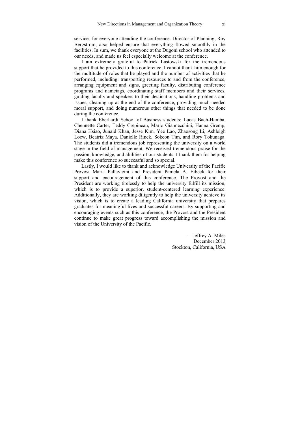services for everyone attending the conference. Director of Planning, Roy Bergstrom, also helped ensure that everything flowed smoothly in the facilities. In sum, we thank everyone at the Dugoni school who attended to our needs, and made us feel especially welcome at the conference.

I am extremely grateful to Patrick Lastowski for the tremendous support that he provided to this conference. I cannot thank him enough for the multitude of roles that he played and the number of activities that he performed, including: transporting resources to and from the conference, arranging equipment and signs, greeting faculty, distributing conference programs and nametags, coordinating staff members and their services, guiding faculty and speakers to their destinations, handling problems and issues, cleaning up at the end of the conference, providing much needed moral support, and doing numerous other things that needed to be done during the conference.

I thank Eberhardt School of Business students: Lucas Bach-Hamba, Chennette Carter, Teddy Crepineau, Mario Giannecchini, Hanna Gremp, Diana Hsiao, Junaid Khan, Jesse Kim, Yee Lao, Zhaosong Li, Ashleigh Loew, Beatriz Maya, Danielle Rinck, Sokcon Tim, and Rory Tokunaga. The students did a tremendous job representing the university on a world stage in the field of management. We received tremendous praise for the passion, knowledge, and abilities of our students. I thank them for helping make this conference so successful and so special.

Lastly, I would like to thank and acknowledge University of the Pacific Provost Maria Pallavicini and President Pamela A. Eibeck for their support and encouragement of this conference. The Provost and the President are working tirelessly to help the university fulfill its mission, which is to provide a superior, student-centered learning experience. Additionally, they are working diligently to help the university achieve its vision, which is to create a leading California university that prepares graduates for meaningful lives and successful careers. By supporting and encouraging events such as this conference, the Provost and the President continue to make great progress toward accomplishing the mission and vision of the University of the Pacific.

> —Jeffrey A. Miles December 2013 Stockton, California, USA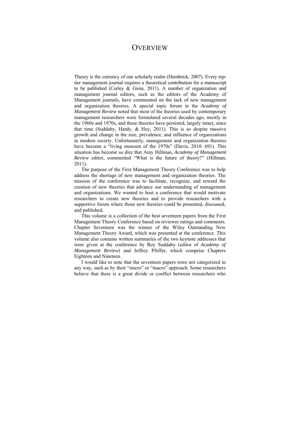### **OVERVIEW**

Theory is the currency of our scholarly realm (Hambrick, 2007). Every toptier management journal requires a theoretical contribution for a manuscript to be published (Corley & Gioia, 2011). A number of organization and management journal editors, such as the editors of the Academy of Management journals, have commented on the lack of new management and organization theories. A special topic forum in the *Academy of Management Review* noted that most of the theories used by contemporary management researchers were formulated several decades ago, mostly in the 1960s and 1970s, and these theories have persisted, largely intact, since that time (Suddaby, Hardy, & Huy, 2011). This is so despite massive growth and change in the size, prevalence, and influence of organizations in modern society. Unfortunately, management and organization theories have become a "living museum of the 1970s" (Davis, 2010: 691). This situation has become so dire that Amy Hillman, *Academy of Management Review* editor, commented "What is the future of theory?" (Hillman, 2011).

The purpose of the First Management Theory Conference was to help address the shortage of new management and organization theories. The mission of the conference was to facilitate, recognize, and reward the creation of new theories that advance our understanding of management and organizations. We wanted to host a conference that would motivate researchers to create new theories and to provide researchers with a supportive forum where those new theories could be presented, discussed, and published.

This volume is a collection of the best seventeen papers from the First Management Theory Conference based on reviewer ratings and comments. Chapter Seventeen was the winner of the Wiley Outstanding New Management Theory Award, which was presented at the conference. This volume also contains written summaries of the two keynote addresses that were given at the conference by Roy Suddaby (editor of *Academy of Management Review*) and Jeffrey Pfeffer, which comprise Chapters Eighteen and Nineteen.

I would like to note that the seventeen papers were not categorized in any way, such as by their "micro" or "macro" approach. Some researchers believe that there is a great divide or conflict between researchers who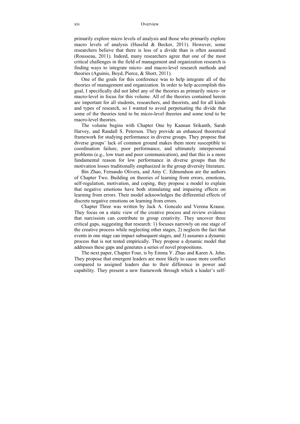primarily explore micro levels of analysis and those who primarily explore macro levels of analysis (Huselid & Becker, 2011). However, some researchers believe that there is less of a divide than is often assumed (Rousseau, 2011). Indeed, many researchers agree that one of the most critical challenges in the field of management and organization research is finding ways to integrate micro- and macro-level research methods and theories (Aguinis, Boyd, Pierce, & Short, 2011).

One of the goals for this conference was to help integrate all of the theories of management and organization. In order to help accomplish this goal, I specifically did not label any of the theories as primarily micro- or macro-level in focus for this volume. All of the theories contained herein are important for all students, researchers, and theorists, and for all kinds and types of research, so I wanted to avoid perpetuating the divide that some of the theories tend to be micro-level theories and some tend to be macro-level theories.

The volume begins with Chapter One by Kannan Srikanth, Sarah Harvey, and Randall S. Peterson. They provide an enhanced theoretical framework for studying performance in diverse groups. They propose that diverse groups' lack of common ground makes them more susceptible to coordination failure, poor performance, and ultimately interpersonal problems (e.g., low trust and poor communication), and that this is a more fundamental reason for low performance in diverse groups than the motivation losses traditionally emphasized in the group diversity literature.

Bin Zhao, Fernando Olivera, and Amy C. Edmondson are the authors of Chapter Two. Building on theories of learning from errors, emotions, self-regulation, motivation, and coping, they propose a model to explain that negative emotions have both stimulating and impairing effects on learning from errors. Their model acknowledges the differential effects of discrete negative emotions on learning from errors.

Chapter Three was written by Jack A. Goncalo and Verena Krause. They focus on a static view of the creative process and review evidence that narcissists can contribute to group creativity. They uncover three critical gaps, suggesting that research: 1) focuses narrowly on one stage of the creative process while neglecting other stages, 2) neglects the fact that events in one stage can impact subsequent stages, and 3) assumes a dynamic process that is not tested empirically. They propose a dynamic model that addresses these gaps and generates a series of novel propositions.

The next paper, Chapter Four, is by Emma Y. Zhao and Karen A. Jehn. They propose that emergent leaders are more likely to cause more conflict compared to assigned leaders due to their difference in power and capability. They present a new framework through which a leader's self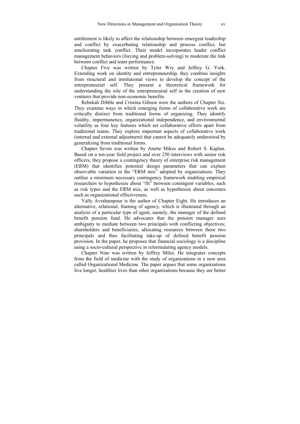entitlement is likely to affect the relationship between emergent leadership and conflict by exacerbating relationship and process conflict, but ameliorating task conflict. Their model incorporates leader conflict management behaviors (forcing and problem-solving) to moderate the link between conflict and team performance.

Chapter Five was written by Tyler Wry and Jeffrey G. York. Extending work on identity and entrepreneurship, they combine insights from structural and institutional views to develop the concept of the entrepreneurial self. They present a theoretical framework for understanding the role of the entrepreneurial self in the creation of new ventures that provide non-economic benefits.

Rebekah Dibble and Cristina Gibson were the authors of Chapter Six. They examine ways in which emerging forms of collaborative work are critically distinct from traditional forms of organizing. They identify fluidity, impermanence, organizational independence, and environmental volatility as four key features which set collaborative efforts apart from traditional teams. They explore important aspects of collaborative work (internal and external adjustment) that cannot be adequately understood by generalizing from traditional forms.

Chapter Seven was written by Anette Mikes and Robert S. Kaplan. Based on a ten-year field project and over 250 interviews with senior risk officers, they propose a contingency theory of enterprise risk management (ERM) that identifies potential design parameters that can explain observable variation in the "ERM mix" adopted by organizations. They outline a minimum necessary contingency framework enabling empirical researchers to hypothesize about "fit" between contingent variables, such as risk types and the ERM mix, as well as hypothesize about outcomes such as organizational effectiveness.

Yally Avrahampour is the author of Chapter Eight. He introduces an alternative, relational, framing of agency, which is illustrated through an analysis of a particular type of agent, namely, the manager of the defined benefit pension fund. He advocates that the pension manager uses ambiguity to mediate between two principals with conflicting objectives; shareholders and beneficiaries, allocating resources between these two principals and thus facilitating take-up of defined benefit pension provision. In the paper, he proposes that financial sociology is a discipline using a socio-cultural perspective in reformulating agency models.

Chapter Nine was written by Jeffrey Miles. He integrates concepts from the field of medicine with the study of organizations in a new area called Organizational Medicine. The paper argues that some organizations live longer, healthier lives than other organizations because they are better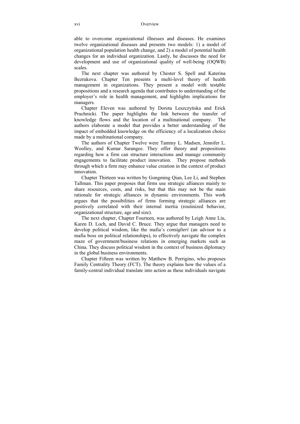able to overcome organizational illnesses and diseases. He examines twelve organizational diseases and presents two models: 1) a model of organizational population health change, and 2) a model of potential health changes for an individual organization. Lastly, he discusses the need for development and use of organizational quality of well-being (OQWB) scales.

The next chapter was authored by Chester S. Spell and Katerina Bezrukova. Chapter Ten presents a multi-level theory of health management in organizations. They present a model with testable propositions and a research agenda that contributes to understanding of the employer's role in health management, and highlights implications for managers.

Chapter Eleven was authored by Dorota Leszczyńska and Erick Pruchnicki. The paper highlights the link between the transfer of knowledge flows and the location of a multinational company. The authors elaborate a model that provides a better understanding of the impact of embedded knowledge on the efficiency of a localization choice made by a multinational company.

The authors of Chapter Twelve were Tammy L. Madsen, Jennifer L. Woolley, and Kumar Sarangee. They offer theory and propositions regarding how a firm can structure interactions and manage community engagements to facilitate product innovation. They propose methods through which a firm may enhance value creation in the context of product innovation.

Chapter Thirteen was written by Gongming Qian, Lee Li, and Stephen Tallman. This paper proposes that firms use strategic alliances mainly to share resources, costs, and risks, but that this may not be the main rationale for strategic alliances in dynamic environments. This work argues that the possibilities of firms forming strategic alliances are positively correlated with their internal inertia (routinized behavior, organizational structure, age and size).

The next chapter, Chapter Fourteen, was authored by Leigh Anne Liu, Karen D. Loch, and David C. Bruce. They argue that managers need to develop political wisdom, like the mafia's *consiglieri* (an advisor to a mafia boss on political relationships), to effectively navigate the complex maze of government/business relations in emerging markets such as China. They discuss political wisdom in the context of business diplomacy in the global business environments.

Chapter Fifteen was written by Matthew B. Perrigino, who proposes Family Centrality Theory (FCT). The theory explains how the values of a family-central individual translate into action as these individuals navigate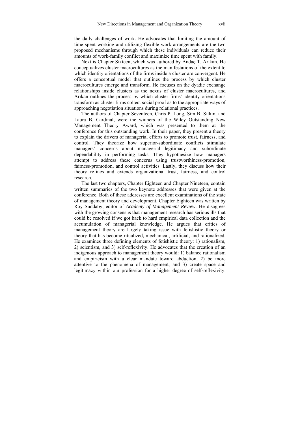the daily challenges of work. He advocates that limiting the amount of time spent working and utilizing flexible work arrangements are the two proposed mechanisms through which these individuals can reduce their amounts of work-family conflict and maximize time spent with family.

Next is Chapter Sixteen, which was authored by Andaç T. Arıkan. He conceptualizes cluster macrocultures as the manifestations of the extent to which identity orientations of the firms inside a cluster are convergent. He offers a conceptual model that outlines the process by which cluster macrocultures emerge and transform. He focuses on the dyadic exchange relationships inside clusters as the nexus of cluster macrocultures, and Arıkan outlines the process by which cluster firms' identity orientations transform as cluster firms collect social proof as to the appropriate ways of approaching negotiation situations during relational practices.

The authors of Chapter Seventeen, Chris P. Long, Sim B. Sitkin, and Laura B. Cardinal, were the winners of the Wiley Outstanding New Management Theory Award, which was presented to them at the conference for this outstanding work. In their paper, they present a theory to explain the drivers of managerial efforts to promote trust, fairness, and control. They theorize how superior-subordinate conflicts stimulate managers' concerns about managerial legitimacy and subordinate dependability in performing tasks. They hypothesize how managers attempt to address these concerns using trustworthiness-promotion, fairness-promotion, and control activities. Lastly, they discuss how their theory refines and extends organizational trust, fairness, and control research.

The last two chapters, Chapter Eighteen and Chapter Nineteen, contain written summaries of the two keynote addresses that were given at the conference. Both of these addresses are excellent examinations of the state of management theory and development. Chapter Eighteen was written by Roy Suddaby, editor of *Academy of Management Review*. He disagrees with the growing consensus that management research has serious ills that could be resolved if we got back to hard empirical data collection and the accumulation of managerial knowledge. He argues that critics of management theory are largely taking issue with fetishistic theory or theory that has become ritualized, mechanical, artificial, and rationalized. He examines three defining elements of fetishistic theory: 1) rationalism, 2) scientism, and 3) self-reflexivity. He advocates that the creation of an indigenous approach to management theory would: 1) balance rationalism and empiricism with a clear mandate toward abduction, 2) be more attentive to the phenomena of management, and 3) create space and legitimacy within our profession for a higher degree of self-reflexivity.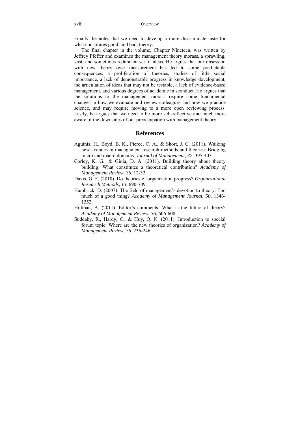Finally, he notes that we need to develop a more discriminate taste for what constitutes good, and bad, theory.

The final chapter in the volume, Chapter Nineteen, was written by Jeffrey Pfeffer and examines the management theory morass, a sprawling, vast, and sometimes redundant set of ideas. He argues that our obsession with new theory over measurement has led to some predictable consequences: a proliferation of theories, studies of little social importance, a lack of demonstrable progress in knowledge development, the articulation of ideas that may not be testable, a lack of evidence-based management, and various degrees of academic misconduct. He argues that the solutions to the management morass require some fundamental changes in how we evaluate and review colleagues and how we practice science, and may require moving to a more open reviewing process. Lastly, he argues that we need to be more self-reflective and much more aware of the downsides of our preoccupation with management theory.

#### **References**

- Aguinis, H., Boyd, B. K., Pierce, C. A., & Short, J. C. (2011). Walking new avenues in management research methods and theories: Bridging micro and macro domains. *Journal of Management, 37*, 395-403
- Corley, K. G., & Gioia, D. A. (2011). Building theory about theory building: What constitutes a theoretical contribution? *Academy of Management Review*, *36*, 12-32.
- Davis, G. F. (2010). Do theories of organization progress? *Organizational Research Methods, 13*, 690-709.
- Hambrick, D. (2007). The field of management's devotion to theory: Too much of a good thing? *Academy of Management Journal, 50*, 1346- 1352.
- Hillman, A. (2011). Editor's comments: What is the future of theory? *Academy of Management Review, 36*, 606-608.
- Suddaby, R., Hardy, C., & Huy, Q. N. (2011). Introduction to special forum topic: Where are the new theories of organization? *Academy of Management Review, 36*, 236-246.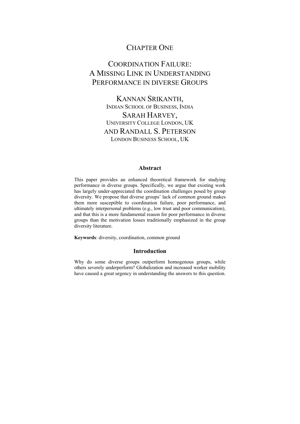### CHAPTER ONE

## COORDINATION FAILURE. A MISSING LINK IN UNDERSTANDING PERFORMANCE IN DIVERSE GROUPS

## KANNAN SRIKANTH, INDIAN SCHOOL OF BUSINESS, INDIA SARAH HARVEY,<br>UNIVERSITY COLLEGE LONDON, UK AND RANDALL S. PETERSON LONDON BUSINESS SCHOOL, UK

#### **Abstract**

This paper provides an enhanced theoretical framework for studying performance in diverse groups. Specifically, we argue that existing work has largely under-appreciated the coordination challenges posed by group diversity. We propose that diverse groups' lack of common ground makes them more susceptible to coordination failure, poor performance, and ultimately interpersonal problems (e.g., low trust and poor communication), and that this is a more fundamental reason for poor performance in diverse groups than the motivation losses traditionally emphasized in the group diversity literature.

**Keywords**: diversity, coordination, common ground

#### **Introduction**

Why do some diverse groups outperform homogenous groups, while others severely underperform? Globalization and increased worker mobility have caused a great urgency in understanding the answers to this question.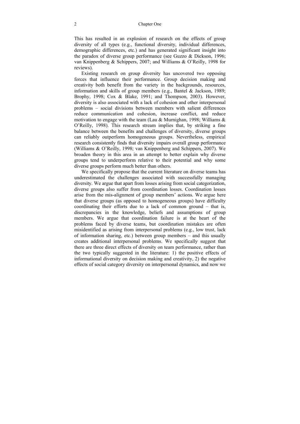This has resulted in an explosion of research on the effects of group diversity of all types (e.g., functional diversity, individual differences, demographic differences, etc.) and has generated significant insight into the paradox of diverse group performance (see Guzzo & Dickson, 1996; van Knippenberg & Schippers, 2007; and Williams & O'Reilly, 1998 for reviews).

Existing research on group diversity has uncovered two opposing forces that influence their performance. Group decision making and creativity both benefit from the variety in the backgrounds, resources, information and skills of group members (e.g., Bantel & Jackson, 1989; Brophy, 1998; Cox & Blake, 1991; and Thompson, 2003). However, diversity is also associated with a lack of cohesion and other interpersonal problems – social divisions between members with salient differences reduce communication and cohesion, increase conflict, and reduce motivation to engage with the team (Lau & Murnighan, 1998; Williams  $\&$ O'Reilly, 1998). This research stream implies that, by striking a fine balance between the benefits and challenges of diversity, diverse groups can reliably outperform homogeneous groups. Nevertheless, empirical research consistently finds that diversity impairs overall group performance (Williams & O'Reilly, 1998; van Knippenberg and Schippers, 2007). We broaden theory in this area in an attempt to better explain why diverse groups tend to underperform relative to their potential and why some diverse groups perform much better than others.

We specifically propose that the current literature on diverse teams has underestimated the challenges associated with successfully managing diversity. We argue that apart from losses arising from social categorization, diverse groups also suffer from coordination losses. Coordination losses arise from the mis-alignment of group members' actions. We argue here that diverse groups (as opposed to homogeneous groups) have difficulty coordinating their efforts due to a lack of common ground – that is, discrepancies in the knowledge, beliefs and assumptions of group members. We argue that coordination failure is at the heart of the problems faced by diverse teams, but coordination mistakes are often misidentified as arising from interpersonal problems (e.g., low trust, lack of information sharing, etc.) between group members – and this usually creates additional interpersonal problems. We specifically suggest that there are three direct effects of diversity on team performance, rather than the two typically suggested in the literature: 1) the positive effects of informational diversity on decision making and creativity, 2) the negative effects of social category diversity on interpersonal dynamics, and now we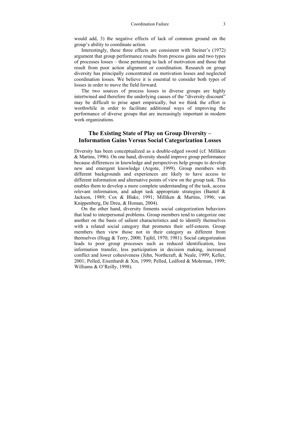would add, 3) the negative effects of lack of common ground on the group's ability to coordinate action.

Interestingly, these three effects are consistent with Steiner's (1972) argument that group performance results from process gains and two types of processes losses – those pertaining to lack of motivation and those that result from poor action alignment or coordination. Research on group diversity has principally concentrated on motivation losses and neglected coordination losses. We believe it is essential to consider both types of losses in order to move the field forward.

The two sources of process losses in diverse groups are highly intertwined and therefore the underlying causes of the "diversity discount" may be difficult to prise apart empirically, but we think the effort is worthwhile in order to facilitate additional ways of improving the performance of diverse groups that are increasingly important in modern work organizations.

#### **The Existing State of Play on Group Diversity – Information Gains Versus Social Categorization Losses**

Diversity has been conceptualized as a double-edged sword (cf. Milliken & Martins, 1996). On one hand, diversity should improve group performance because differences in knowledge and perspectives help groups to develop new and emergent knowledge (Argote, 1999). Group members with different backgrounds and experiences are likely to have access to different information and alternative points of view on the group task. This enables them to develop a more complete understanding of the task, access relevant information, and adopt task appropriate strategies (Bantel & Jackson, 1989; Cox & Blake, 1991; Milliken & Martins, 1996; van Knippenberg, De Dreu, & Homan, 2004).

On the other hand, diversity foments social categorization behaviors that lead to interpersonal problems. Group members tend to categorize one another on the basis of salient characteristics and to identify themselves with a related social category that promotes their self-esteem. Group members then view those not in their category as different from themselves (Hogg & Terry, 2000; Tajfel, 1970; 1981). Social categorization leads to poor group processes such as reduced identification, less information transfer, less participation in decision making, increased conflict and lower cohesiveness (Jehn, Northcraft, & Neale, 1999; Keller, 2001; Pelled, Eisenhardt & Xin, 1999; Pelled, Ledford & Mohrman, 1999; Williams & O'Reilly, 1998).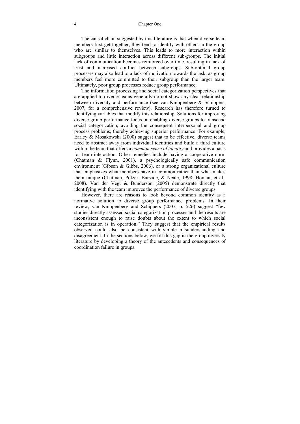The causal chain suggested by this literature is that when diverse team members first get together, they tend to identify with others in the group who are similar to themselves. This leads to more interaction within subgroups and little interaction across different sub-groups. The initial lack of communication becomes reinforced over time, resulting in lack of trust and increased conflict between subgroups. Sub-optimal group processes may also lead to a lack of motivation towards the task, as group members feel more committed to their subgroup than the larger team. Ultimately, poor group processes reduce group performance.

The information processing and social categorization perspectives that are applied to diverse teams generally do not show any clear relationship between diversity and performance (see van Knippenberg & Schippers, 2007, for a comprehensive review). Research has therefore turned to identifying variables that modify this relationship. Solutions for improving diverse group performance focus on enabling diverse groups to transcend social categorization, avoiding the consequent interpersonal and group process problems, thereby achieving superior performance. For example, Earley  $&$  Mosakowski (2000) suggest that to be effective, diverse teams need to abstract away from individual identities and build a third culture within the team that offers a *common sense of identity* and provides a basis for team interaction. Other remedies include having a cooperative norm (Chatman & Flynn, 2001), a psychologically safe communication environment (Gibson & Gibbs, 2006), or a strong organizational culture that emphasizes what members have in common rather than what makes them unique (Chatman, Polzer, Barsade, & Neale, 1998; Homan, et al., 2008). Van der Vegt & Bunderson (2005) demonstrate directly that identifying with the team improves the performance of diverse groups.

However, there are reasons to look beyond common identity as a normative solution to diverse group performance problems. In their review, van Knippenberg and Schippers (2007, p. 526) suggest "few studies directly assessed social categorization processes and the results are inconsistent enough to raise doubts about the extent to which social categorization is in operation." They suggest that the empirical results observed could also be consistent with simple misunderstanding and disagreement. In the sections below, we fill this gap in the group diversity literature by developing a theory of the antecedents and consequences of coordination failure in groups.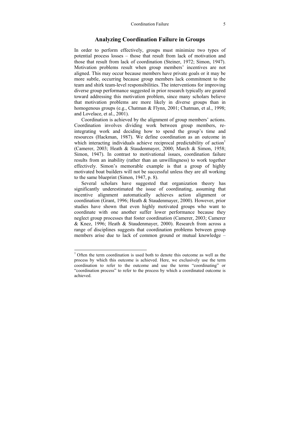#### **Analyzing Coordination Failure in Groups**

In order to perform effectively, groups must minimize two types of potential process losses – those that result from lack of motivation and those that result from lack of coordination (Steiner, 1972; Simon, 1947). Motivation problems result when group members' incentives are not aligned. This may occur because members have private goals or it may be more subtle, occurring because group members lack commitment to the team and shirk team-level responsibilities. The interventions for improving diverse group performance suggested in prior research typically are geared toward addressing this motivation problem, since many scholars believe that motivation problems are more likely in diverse groups than in homogenous groups (e.g., Chatman & Flynn, 2001; Chatman, et al., 1998; and Lovelace, et al., 2001).

Coordination is achieved by the alignment of group members' actions. Coordination involves dividing work between group members, reintegrating work and deciding how to spend the group's time and resources (Hackman, 1987). We define coordination as an outcome in which interacting individuals achieve reciprocal predictability of action<sup>1</sup> (Camerer, 2003; Heath & Staudenmayer, 2000; March & Simon, 1958; Simon, 1947). In contrast to motivational issues, coordination failure results from an inability (rather than an unwillingness) to work together effectively. Simon's memorable example is that a group of highly motivated boat builders will not be successful unless they are all working to the same blueprint (Simon, 1947, p. 8).

Several scholars have suggested that organization theory has significantly underestimated the issue of coordinating, assuming that incentive alignment automatically achieves action alignment or coordination (Grant, 1996; Heath & Staudenmayer, 2000). However, prior studies have shown that even highly motivated groups who want to coordinate with one another suffer lower performance because they neglect group processes that foster coordination (Camerer, 2003; Camerer & Knez, 1996; Heath & Staudenmayer, 2000). Research from across a range of disciplines suggests that coordination problems between group members arise due to lack of common ground or mutual knowledge –

l

<sup>&</sup>lt;sup>1</sup> Often the term coordination is used both to denote this outcome as well as the process by which this outcome is achieved. Here, we exclusively use the term coordination to refer to the outcome and use the terms "coordinating" or "coordination process" to refer to the process by which a coordinated outcome is achieved.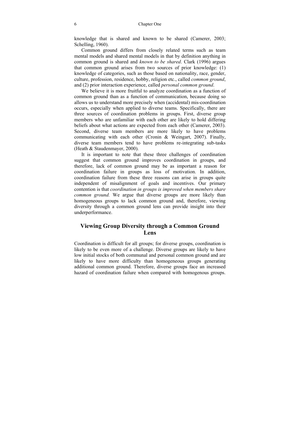knowledge that is shared and known to be shared (Camerer, 2003; Schelling, 1960).

Common ground differs from closely related terms such as team mental models and shared mental models in that by definition anything in common ground is shared and *known to be shared*. Clark (1996) argues that common ground arises from two sources of prior knowledge: (1) knowledge of categories, such as those based on nationality, race, gender, culture, profession, residence, hobby, religion etc., called *common ground*, and (2) prior interaction experience, called *personal common ground*.

We believe it is more fruitful to analyze coordination as a function of common ground than as a function of communication, because doing so allows us to understand more precisely when (accidental) mis-coordination occurs, especially when applied to diverse teams. Specifically, there are three sources of coordination problems in groups. First, diverse group members who are unfamiliar with each other are likely to hold differing beliefs about what actions are expected from each other (Camerer, 2003). Second, diverse team members are more likely to have problems communicating with each other (Cronin & Weingart, 2007). Finally, diverse team members tend to have problems re-integrating sub-tasks (Heath & Staudenmayer, 2000).

It is important to note that these three challenges of coordination suggest that common ground improves coordination in groups, and therefore, lack of common ground may be as important a reason for coordination failure in groups as loss of motivation. In addition, coordination failure from these three reasons can arise in groups quite independent of misalignment of goals and incentives. Our primary contention is that *coordination in groups is improved when members share common ground.* We argue that diverse groups are more likely than homogeneous groups to lack common ground and, therefore, viewing diversity through a common ground lens can provide insight into their underperformance.

#### **Viewing Group Diversity through a Common Ground Lens**

Coordination is difficult for all groups; for diverse groups, coordination is likely to be even more of a challenge. Diverse groups are likely to have low initial stocks of both communal and personal common ground and are likely to have more difficulty than homogeneous groups generating additional common ground. Therefore, diverse groups face an increased hazard of coordination failure when compared with homogenous groups.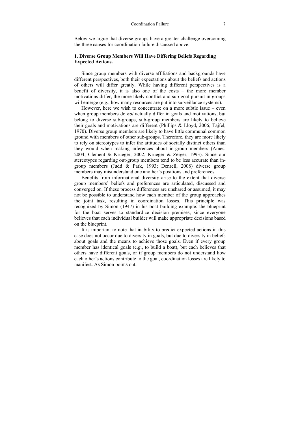Below we argue that diverse groups have a greater challenge overcoming the three causes for coordination failure discussed above.

#### **1. Diverse Group Members Will Have Differing Beliefs Regarding Expected Actions.**

Since group members with diverse affiliations and backgrounds have different perspectives, both their expectations about the beliefs and actions of others will differ greatly. While having different perspectives is a benefit of diversity, it is also one of the costs – the more member motivations differ, the more likely conflict and sub-goal pursuit in groups will emerge (e.g., how many resources are put into surveillance systems).

However, here we wish to concentrate on a more subtle issue – even when group members do *not* actually differ in goals and motivations, but belong to diverse sub-groups, sub-group members are likely to believe their goals and motivations are different (Phillips & Lloyd, 2006; Tajfel, 1970). Diverse group members are likely to have little communal common ground with members of other sub-groups. Therefore, they are more likely to rely on stereotypes to infer the attitudes of socially distinct others than they would when making inferences about in-group members (Ames, 2004; Clement & Krueger, 2002; Krueger & Zeiger, 1993). Since our stereotypes regarding out-group members tend to be less accurate than ingroup members (Judd & Park, 1993; Denrell, 2008) diverse group members may misunderstand one another's positions and preferences.

Benefits from informational diversity arise to the extent that diverse group members' beliefs and preferences are articulated, discussed and converged on. If these process differences are unshared or assumed, it may not be possible to understand how each member of the group approaches the joint task, resulting in coordination losses. This principle was recognized by Simon (1947) in his boat building example: the blueprint for the boat serves to standardize decision premises, since everyone believes that each individual builder will make appropriate decisions based on the blueprint.

It is important to note that inability to predict expected actions in this case does not occur due to diversity in goals, but due to diversity in beliefs about goals and the means to achieve those goals. Even if every group member has identical goals (e.g., to build a boat), but each believes that others have different goals, or if group members do not understand how each other's actions contribute to the goal, coordination losses are likely to manifest. As Simon points out: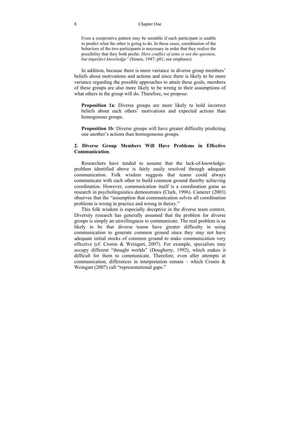Even a cooperative pattern may be unstable if each participant is unable to predict what the other is going to do. In these cases, coordination of the behaviors of the two participants is necessary in order that they realize the possibility that they both prefer. *Here conflict of aims is not the question, but imperfect knowledge"* (Simon, 1947; p81; our emphasis).

In addition, because there is more variance in diverse group members' beliefs about motivations and actions and since there is likely to be more variance regarding the possible approaches to attain these goals, members of these groups are also more likely to be wrong in their assumptions of what others in the group will do. Therefore, we propose:

**Proposition 1a**: Diverse groups are more likely to hold incorrect beliefs about each others' motivations and expected actions than homogenous groups.

**Proposition 1b**: Diverse groups will have greater difficulty predicting one another's actions than homogeneous groups.

#### **2. Diverse Group Members Will Have Problems in Effective Communication**.

Researchers have tended to assume that the lack-of-knowledgeproblem identified above is fairly easily resolved through adequate communication. Folk wisdom suggests that teams could always communicate with each other to build common ground thereby achieving coordination. However, communication itself is a coordination game as research in psycholinguistics demonstrates (Clark, 1996). Camerer (2003) observes that the "assumption that communication solves all coordination problems is wrong in practice and wrong in theory."

This folk wisdom is especially deceptive in the diverse team context. Diversity research has generally assumed that the problem for diverse groups is simply an unwillingness to communicate. The real problem is as likely to be that diverse teams have greater difficulty in using communication to generate common ground since they may not have adequate initial stocks of common ground to make communication very effective (cf. Cronin & Weingart, 2007). For example, specialists may occupy different "thought worlds" (Dougherty, 1992), which makes it difficult for them to communicate. Therefore, even after attempts at communication, differences in interpretation remain – which Cronin  $\&$ Weingart (2007) call "representational gaps."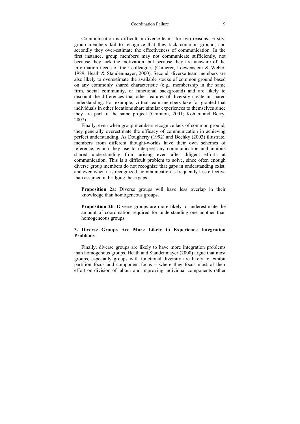#### Coordination Failure 9

Communication is difficult in diverse teams for two reasons. Firstly, group members fail to recognize that they lack common ground, and secondly they over-estimate the effectiveness of communication. In the first instance, group members may not communicate sufficiently, not because they lack the motivation, but because they are unaware of the information needs of their colleagues (Camerer, Loewenstein & Weber, 1989; Heath & Staudenmayer, 2000). Second, diverse team members are also likely to overestimate the available stocks of common ground based on any commonly shared characteristic (e.g., membership in the same firm, social community, or functional background) and are likely to discount the differences that other features of diversity create in shared understanding. For example, virtual team members take for granted that individuals in other locations share similar experiences to themselves since they are part of the same project (Cramton, 2001; Kohler and Berry, 2007).

Finally, even when group members recognize lack of common ground, they generally overestimate the efficacy of communication in achieving perfect understanding. As Dougherty (1992) and Bechky (2003) illustrate, members from different thought-worlds have their own schemes of reference, which they use to interpret any communication and inhibits shared understanding from arising even after diligent efforts at communication. This is a difficult problem to solve, since often enough diverse group members do not recognize that gaps in understanding exist, and even when it is recognized, communication is frequently less effective than assumed in bridging these gaps.

**Proposition 2a**: Diverse groups will have less overlap in their knowledge than homogeneous groups.

**Proposition 2b**: Diverse groups are more likely to underestimate the amount of coordination required for understanding one another than homogeneous groups.

#### **3. Diverse Groups Are More Likely to Experience Integration Problems**.

Finally, diverse groups are likely to have more integration problems than homogenous groups. Heath and Staudenmayer (2000) argue that most groups, especially groups with functional diversity are likely to exhibit partition focus and component focus – where they focus most of their effort on division of labour and improving individual components rather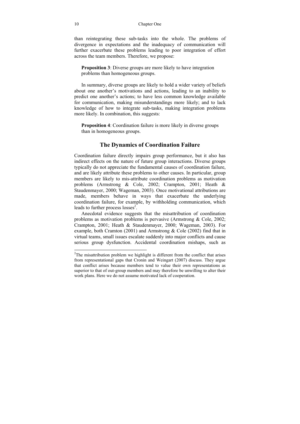than reintegrating these sub-tasks into the whole. The problems of divergence in expectations and the inadequacy of communication will further exacerbate these problems leading to poor integration of effort across the team members. Therefore, we propose:

**Proposition 3**: Diverse groups are more likely to have integration problems than homogeneous groups.

In summary, diverse groups are likely to hold a wider variety of beliefs about one another's motivations and actions, leading to an inability to predict one another's actions; to have less common knowledge available for communication, making misunderstandings more likely; and to lack knowledge of how to integrate sub-tasks, making integration problems more likely. In combination, this suggests:

**Proposition 4**: Coordination failure is more likely in diverse groups than in homogeneous groups.

#### **The Dynamics of Coordination Failure**

Coordination failure directly impairs group performance, but it also has indirect effects on the nature of future group interactions. Diverse groups typically do not appreciate the fundamental causes of coordination failure, and are likely attribute these problems to other causes. In particular, group members are likely to mis-attribute coordination problems as motivation problems (Armstrong & Cole, 2002; Crampton, 2001; Heath & Staudenmayer, 2000; Wageman, 2003). Once motivational attributions are made, members behave in ways that exacerbate the underlying coordination failure, for example, by withholding communication, which leads to further process losses<sup>2</sup>.

Anecdotal evidence suggests that the misattribution of coordination problems as motivation problems is pervasive (Armstrong & Cole, 2002; Crampton, 2001; Heath & Staudenmayer, 2000; Wageman, 2003). For example, both Cramton (2001) and Armstrong & Cole (2002) find that in virtual teams, small issues escalate suddenly into major conflicts and cause serious group dysfunction. Accidental coordination mishaps, such as

l

 $2$ The misattribution problem we highlight is different from the conflict that arises from representational gaps that Cronin and Weingart (2007) discuss. They argue that conflict arises because members tend to value their own representations as superior to that of out-group members and may therefore be unwilling to alter their work plans. Here we do not assume motivated lack of cooperation.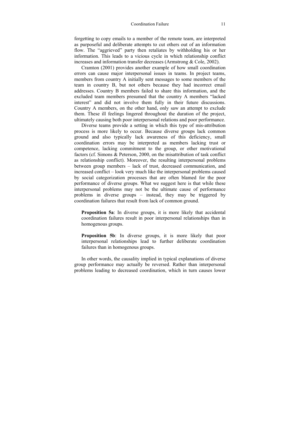forgetting to copy emails to a member of the remote team, are interpreted as purposeful and deliberate attempts to cut others out of an information flow. The "aggrieved" party then retaliates by withholding his or her information. This leads to a vicious cycle in which relationship conflict increases and information transfer decreases (Armstrong & Cole, 2002).

Cramton (2001) provides another example of how small coordination errors can cause major interpersonal issues in teams. In project teams, members from country A initially sent messages to some members of the team in country B, but not others because they had incorrect email addresses. Country B members failed to share this information, and the excluded team members presumed that the country A members "lacked interest" and did not involve them fully in their future discussions. Country A members, on the other hand, only saw an attempt to exclude them. These ill feelings lingered throughout the duration of the project, ultimately causing both poor interpersonal relations and poor performance.

Diverse teams provide a setting in which this type of mis-attribution process is more likely to occur. Because diverse groups lack common ground and also typically lack awareness of this deficiency, small coordination errors may be interpreted as members lacking trust or competence, lacking commitment to the group, or other motivational factors (cf. Simons & Peterson, 2000, on the misattribution of task conflict as relationship conflict). Moreover, the resulting interpersonal problems between group members – lack of trust, decreased communication, and increased conflict – look very much like the interpersonal problems caused by social categorization processes that are often blamed for the poor performance of diverse groups. What we suggest here is that while these interpersonal problems may not be the ultimate cause of performance problems in diverse groups – instead, they may be triggered by coordination failures that result from lack of common ground.

**Proposition 5a**: In diverse groups, it is more likely that accidental coordination failures result in poor interpersonal relationships than in homogenous groups.

**Proposition 5b**: In diverse groups, it is more likely that poor interpersonal relationships lead to further deliberate coordination failures than in homogenous groups.

In other words, the causality implied in typical explanations of diverse group performance may actually be reversed. Rather than interpersonal problems leading to decreased coordination, which in turn causes lower